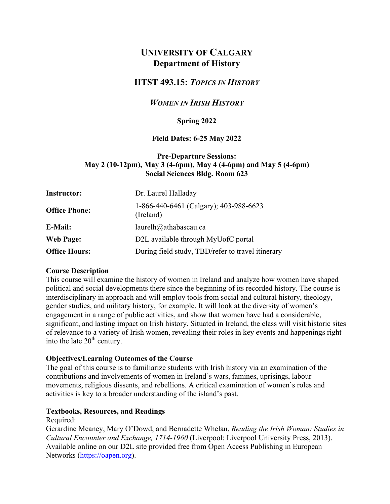# **UNIVERSITY OF CALGARY Department of History**

# **HTST 493.15:** *TOPICS IN HISTORY*

### *WOMEN IN IRISH HISTORY*

### **Spring 2022**

#### **Field Dates: 6-25 May 2022**

### **Pre-Departure Sessions: May 2 (10-12pm), May 3 (4-6pm), May 4 (4-6pm) and May 5 (4-6pm) Social Sciences Bldg. Room 623**

| <b>Instructor:</b>   | Dr. Laurel Halladay                                 |  |  |
|----------------------|-----------------------------------------------------|--|--|
| <b>Office Phone:</b> | 1-866-440-6461 (Calgary); 403-988-6623<br>(Ireland) |  |  |
| E-Mail:              | laurelh@athabascau.ca                               |  |  |
| <b>Web Page:</b>     | D2L available through MyUofC portal                 |  |  |
| <b>Office Hours:</b> | During field study, TBD/refer to travel itinerary   |  |  |

#### **Course Description**

This course will examine the history of women in Ireland and analyze how women have shaped political and social developments there since the beginning of its recorded history. The course is interdisciplinary in approach and will employ tools from social and cultural history, theology, gender studies, and military history, for example. It will look at the diversity of women's engagement in a range of public activities, and show that women have had a considerable, significant, and lasting impact on Irish history. Situated in Ireland, the class will visit historic sites of relevance to a variety of Irish women, revealing their roles in key events and happenings right into the late  $20<sup>th</sup>$  century.

#### **Objectives/Learning Outcomes of the Course**

The goal of this course is to familiarize students with Irish history via an examination of the contributions and involvements of women in Ireland's wars, famines, uprisings, labour movements, religious dissents, and rebellions. A critical examination of women's roles and activities is key to a broader understanding of the island's past.

#### **Textbooks, Resources, and Readings**

#### Required:

Gerardine Meaney, Mary O'Dowd, and Bernadette Whelan, *Reading the Irish Woman: Studies in Cultural Encounter and Exchange, 1714-1960* (Liverpool: Liverpool University Press, 2013). Available online on our D2L site provided free from Open Access Publishing in European Networks (https://oapen.org).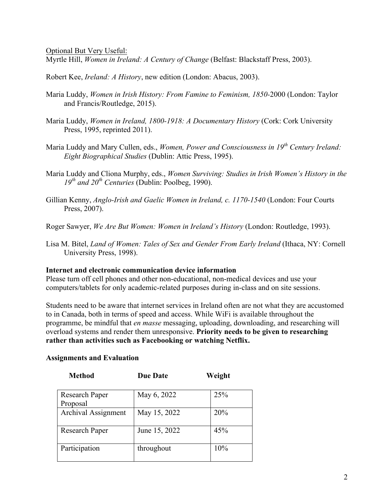Optional But Very Useful:

Myrtle Hill, *Women in Ireland: A Century of Change* (Belfast: Blackstaff Press, 2003).

Robert Kee, *Ireland: A History*, new edition (London: Abacus, 2003).

- Maria Luddy, *Women in Irish History: From Famine to Feminism, 1850-*2000 (London: Taylor and Francis/Routledge, 2015).
- Maria Luddy, *Women in Ireland, 1800-1918: A Documentary History* (Cork: Cork University Press, 1995, reprinted 2011).
- Maria Luddy and Mary Cullen, eds., *Women, Power and Consciousness in 19th Century Ireland: Eight Biographical Studies* (Dublin: Attic Press, 1995).
- Maria Luddy and Cliona Murphy, eds., *Women Surviving: Studies in Irish Women's History in the*   $19<sup>th</sup>$  *and 20<sup>th</sup> Centuries* (Dublin: Poolbeg, 1990).
- Gillian Kenny, *Anglo-Irish and Gaelic Women in Ireland, c. 1170-1540* (London: Four Courts Press, 2007).

Roger Sawyer, *We Are But Women: Women in Ireland's History* (London: Routledge, 1993).

Lisa M. Bitel, *Land of Women: Tales of Sex and Gender From Early Ireland* (Ithaca, NY: Cornell University Press, 1998).

#### **Internet and electronic communication device information**

Please turn off cell phones and other non-educational, non-medical devices and use your computers/tablets for only academic-related purposes during in-class and on site sessions.

Students need to be aware that internet services in Ireland often are not what they are accustomed to in Canada, both in terms of speed and access. While WiFi is available throughout the programme, be mindful that *en masse* messaging, uploading, downloading, and researching will overload systems and render them unresponsive. **Priority needs to be given to researching rather than activities such as Facebooking or watching Netflix.**

#### **Assignments and Evaluation**

| <b>Method</b>              | <b>Due Date</b> | Weight |
|----------------------------|-----------------|--------|
| Research Paper<br>Proposal | May 6, 2022     | 25%    |
| <b>Archival Assignment</b> | May 15, 2022    | 20%    |
| Research Paper             | June 15, 2022   | 45%    |
| Participation              | throughout      | 10%    |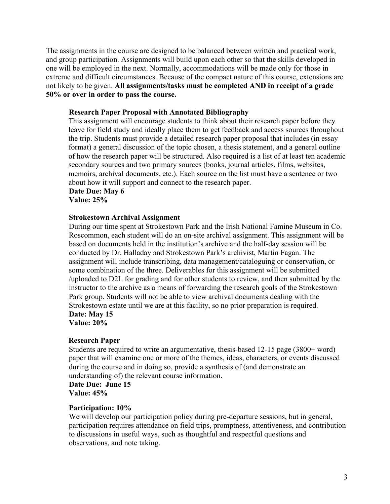The assignments in the course are designed to be balanced between written and practical work, and group participation. Assignments will build upon each other so that the skills developed in one will be employed in the next. Normally, accommodations will be made only for those in extreme and difficult circumstances. Because of the compact nature of this course, extensions are not likely to be given. **All assignments/tasks must be completed AND in receipt of a grade 50% or over in order to pass the course.**

### **Research Paper Proposal with Annotated Bibliography**

This assignment will encourage students to think about their research paper before they leave for field study and ideally place them to get feedback and access sources throughout the trip. Students must provide a detailed research paper proposal that includes (in essay format) a general discussion of the topic chosen, a thesis statement, and a general outline of how the research paper will be structured. Also required is a list of at least ten academic secondary sources and two primary sources (books, journal articles, films, websites, memoirs, archival documents, etc.). Each source on the list must have a sentence or two about how it will support and connect to the research paper.

#### **Date Due: May 6 Value: 25%**

#### **Strokestown Archival Assignment**

During our time spent at Strokestown Park and the Irish National Famine Museum in Co. Roscommon, each student will do an on-site archival assignment. This assignment will be based on documents held in the institution's archive and the half-day session will be conducted by Dr. Halladay and Strokestown Park's archivist, Martin Fagan. The assignment will include transcribing, data management/cataloguing or conservation, or some combination of the three. Deliverables for this assignment will be submitted /uploaded to D2L for grading and for other students to review, and then submitted by the instructor to the archive as a means of forwarding the research goals of the Strokestown Park group. Students will not be able to view archival documents dealing with the Strokestown estate until we are at this facility, so no prior preparation is required. **Date: May 15**

**Value: 20%**

#### **Research Paper**

Students are required to write an argumentative, thesis-based 12-15 page (3800+ word) paper that will examine one or more of the themes, ideas, characters, or events discussed during the course and in doing so, provide a synthesis of (and demonstrate an understanding of) the relevant course information.

**Date Due: June 15 Value: 45%**

#### **Participation: 10%**

We will develop our participation policy during pre-departure sessions, but in general, participation requires attendance on field trips, promptness, attentiveness, and contribution to discussions in useful ways, such as thoughtful and respectful questions and observations, and note taking.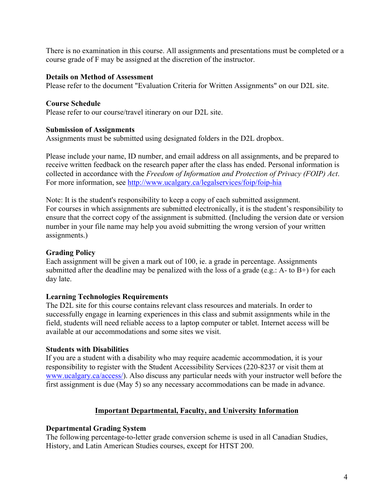There is no examination in this course. All assignments and presentations must be completed or a course grade of F may be assigned at the discretion of the instructor.

### **Details on Method of Assessment**

Please refer to the document "Evaluation Criteria for Written Assignments" on our D2L site.

### **Course Schedule**

Please refer to our course/travel itinerary on our D2L site.

### **Submission of Assignments**

Assignments must be submitted using designated folders in the D2L dropbox.

Please include your name, ID number, and email address on all assignments, and be prepared to receive written feedback on the research paper after the class has ended. Personal information is collected in accordance with the *Freedom of Information and Protection of Privacy (FOIP) Act*. For more information, see http://www.ucalgary.ca/legalservices/foip/foip-hia

Note: It is the student's responsibility to keep a copy of each submitted assignment. For courses in which assignments are submitted electronically, it is the student's responsibility to ensure that the correct copy of the assignment is submitted. (Including the version date or version number in your file name may help you avoid submitting the wrong version of your written assignments.)

### **Grading Policy**

Each assignment will be given a mark out of 100, ie. a grade in percentage. Assignments submitted after the deadline may be penalized with the loss of a grade (e.g.: A- to  $B+$ ) for each day late.

### **Learning Technologies Requirements**

The D2L site for this course contains relevant class resources and materials. In order to successfully engage in learning experiences in this class and submit assignments while in the field, students will need reliable access to a laptop computer or tablet. Internet access will be available at our accommodations and some sites we visit.

#### **Students with Disabilities**

If you are a student with a disability who may require academic accommodation, it is your responsibility to register with the Student Accessibility Services (220-8237 or visit them at www.ucalgary.ca/access/). Also discuss any particular needs with your instructor well before the first assignment is due (May 5) so any necessary accommodations can be made in advance.

### **Important Departmental, Faculty, and University Information**

#### **Departmental Grading System**

The following percentage-to-letter grade conversion scheme is used in all Canadian Studies, History, and Latin American Studies courses, except for HTST 200.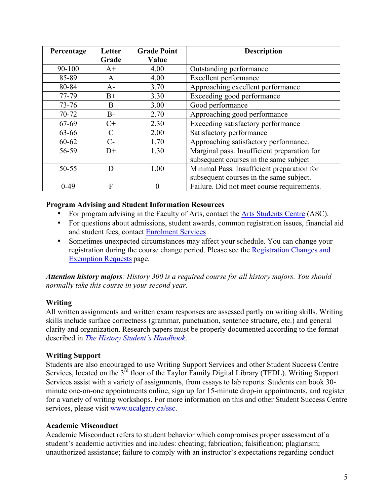| Percentage | Letter | <b>Grade Point</b> | <b>Description</b>                          |
|------------|--------|--------------------|---------------------------------------------|
|            | Grade  | Value              |                                             |
| 90-100     | $A+$   | 4.00               | Outstanding performance                     |
| 85-89      | A      | 4.00               | Excellent performance                       |
| 80-84      | $A-$   | 3.70               | Approaching excellent performance           |
| 77-79      | $B+$   | 3.30               | Exceeding good performance                  |
| $73 - 76$  | B      | 3.00               | Good performance                            |
| 70-72      | $B-$   | 2.70               | Approaching good performance                |
| 67-69      | $C+$   | 2.30               | Exceeding satisfactory performance          |
| 63-66      | C      | 2.00               | Satisfactory performance                    |
| 60-62      | $C$ -  | 1.70               | Approaching satisfactory performance.       |
| 56-59      | $D+$   | 1.30               | Marginal pass. Insufficient preparation for |
|            |        |                    | subsequent courses in the same subject      |
| 50-55      | D      | 1.00               | Minimal Pass. Insufficient preparation for  |
|            |        |                    | subsequent courses in the same subject.     |
| $0-49$     | F      |                    | Failure. Did not meet course requirements.  |

### **Program Advising and Student Information Resources**

- For program advising in the Faculty of Arts, contact the Arts Students Centre (ASC).
- For questions about admissions, student awards, common registration issues, financial aid and student fees, contact Enrolment Services
- Sometimes unexpected circumstances may affect your schedule. You can change your registration during the course change period. Please see the Registration Changes and Exemption Requests page.

*Attention history majors: History 300 is a required course for all history majors. You should normally take this course in your second year.*

### **Writing**

All written assignments and written exam responses are assessed partly on writing skills. Writing skills include surface correctness (grammar, punctuation, sentence structure, etc.) and general clarity and organization. Research papers must be properly documented according to the format described in *The History Student's Handbook*.

### **Writing Support**

Students are also encouraged to use Writing Support Services and other Student Success Centre Services, located on the 3<sup>rd</sup> floor of the Taylor Family Digital Library (TFDL). Writing Support Services assist with a variety of assignments, from essays to lab reports. Students can book 30 minute one-on-one appointments online, sign up for 15-minute drop-in appointments, and register for a variety of writing workshops. For more information on this and other Student Success Centre services, please visit www.ucalgary.ca/ssc.

### **Academic Misconduct**

Academic Misconduct refers to student behavior which compromises proper assessment of a student's academic activities and includes: cheating; fabrication; falsification; plagiarism; unauthorized assistance; failure to comply with an instructor's expectations regarding conduct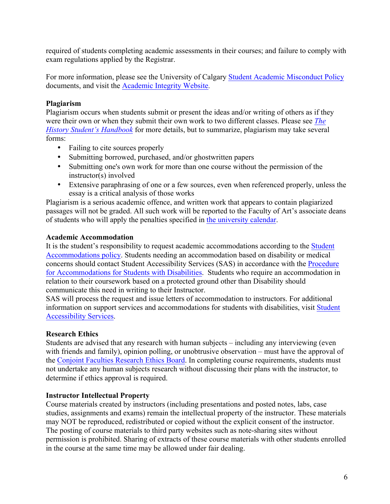required of students completing academic assessments in their courses; and failure to comply with exam regulations applied by the Registrar.

For more information, please see the University of Calgary Student Academic Misconduct Policy documents, and visit the Academic Integrity Website.

# **Plagiarism**

Plagiarism occurs when students submit or present the ideas and/or writing of others as if they were their own or when they submit their own work to two different classes. Please see *The History Student's Handbook* for more details, but to summarize, plagiarism may take several forms:

- Failing to cite sources properly
- Submitting borrowed, purchased, and/or ghostwritten papers
- Submitting one's own work for more than one course without the permission of the instructor(s) involved
- Extensive paraphrasing of one or a few sources, even when referenced properly, unless the essay is a critical analysis of those works

Plagiarism is a serious academic offence, and written work that appears to contain plagiarized passages will not be graded. All such work will be reported to the Faculty of Art's associate deans of students who will apply the penalties specified in the university calendar.

# **Academic Accommodation**

It is the student's responsibility to request academic accommodations according to the Student Accommodations policy. Students needing an accommodation based on disability or medical concerns should contact Student Accessibility Services (SAS) in accordance with the Procedure for Accommodations for Students with Disabilities. Students who require an accommodation in relation to their coursework based on a protected ground other than Disability should communicate this need in writing to their Instructor.

SAS will process the request and issue letters of accommodation to instructors. For additional information on support services and accommodations for students with disabilities, visit Student Accessibility Services.

# **Research Ethics**

Students are advised that any research with human subjects – including any interviewing (even with friends and family), opinion polling, or unobtrusive observation – must have the approval of the Conjoint Faculties Research Ethics Board. In completing course requirements, students must not undertake any human subjects research without discussing their plans with the instructor, to determine if ethics approval is required.

# **Instructor Intellectual Property**

Course materials created by instructors (including presentations and posted notes, labs, case studies, assignments and exams) remain the intellectual property of the instructor. These materials may NOT be reproduced, redistributed or copied without the explicit consent of the instructor. The posting of course materials to third party websites such as note-sharing sites without permission is prohibited. Sharing of extracts of these course materials with other students enrolled in the course at the same time may be allowed under fair dealing.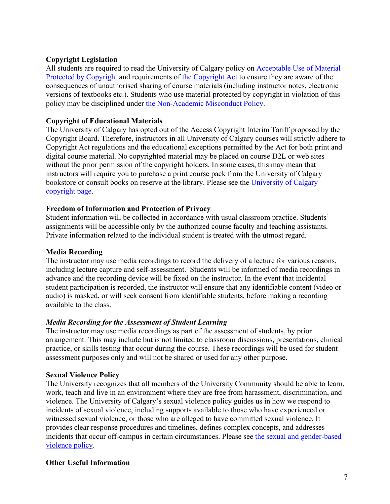### **Copyright Legislation**

All students are required to read the University of Calgary policy on Acceptable Use of Material Protected by Copyright and requirements of the Copyright Act to ensure they are aware of the consequences of unauthorised sharing of course materials (including instructor notes, electronic versions of textbooks etc.). Students who use material protected by copyright in violation of this policy may be disciplined under the Non-Academic Misconduct Policy.

# **Copyright of Educational Materials**

The University of Calgary has opted out of the Access Copyright Interim Tariff proposed by the Copyright Board. Therefore, instructors in all University of Calgary courses will strictly adhere to Copyright Act regulations and the educational exceptions permitted by the Act for both print and digital course material. No copyrighted material may be placed on course D2L or web sites without the prior permission of the copyright holders. In some cases, this may mean that instructors will require you to purchase a print course pack from the University of Calgary bookstore or consult books on reserve at the library. Please see the University of Calgary copyright page.

### **Freedom of Information and Protection of Privacy**

Student information will be collected in accordance with usual classroom practice. Students' assignments will be accessible only by the authorized course faculty and teaching assistants. Private information related to the individual student is treated with the utmost regard.

### **Media Recording**

The instructor may use media recordings to record the delivery of a lecture for various reasons, including lecture capture and self-assessment. Students will be informed of media recordings in advance and the recording device will be fixed on the instructor. In the event that incidental student participation is recorded, the instructor will ensure that any identifiable content (video or audio) is masked, or will seek consent from identifiable students, before making a recording available to the class.

### *Media Recording for the Assessment of Student Learning*

The instructor may use media recordings as part of the assessment of students, by prior arrangement. This may include but is not limited to classroom discussions, presentations, clinical practice, or skills testing that occur during the course. These recordings will be used for student assessment purposes only and will not be shared or used for any other purpose.

### **Sexual Violence Policy**

The University recognizes that all members of the University Community should be able to learn, work, teach and live in an environment where they are free from harassment, discrimination, and violence. The University of Calgary's sexual violence policy guides us in how we respond to incidents of sexual violence, including supports available to those who have experienced or witnessed sexual violence, or those who are alleged to have committed sexual violence. It provides clear response procedures and timelines, defines complex concepts, and addresses incidents that occur off-campus in certain circumstances. Please see the sexual and gender-based violence policy.

### **Other Useful Information**